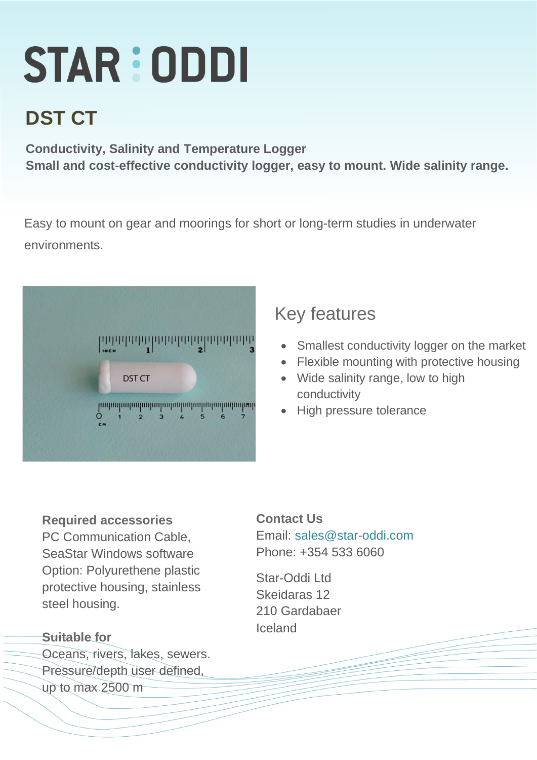# **STAR: ODDI**

## **DST CT**

**Conductivity, Salinity and Temperature Logger Small and cost-effective conductivity logger, easy to mount. Wide salinity range.**

Easy to mount on gear and moorings for short or long-term studies in underwater environments.



### Key features

- Smallest conductivity logger on the market
- Flexible mounting with protective housing
- Wide salinity range, low to high conductivity
- High pressure tolerance

#### **Required accessories**

PC Communication Cable, SeaStar Windows software Option: Polyurethene plastic protective housing, stainless steel housing.

#### **Suitable for**

Oceans, rivers, lakes, sewers. Pressure/depth user defined, up to max 2500 m

**Contact Us** Email: [sales@star-oddi.com](mailto:sales@star-oddi.com) Phone: +354 533 6060

Star-Oddi Ltd Skeidaras 12 210 Gardabaer Iceland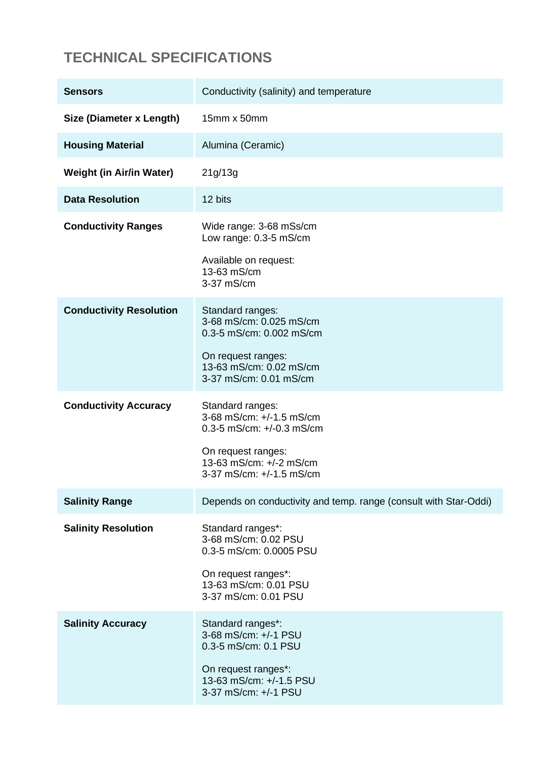#### **TECHNICAL SPECIFICATIONS**

| <b>Sensors</b>                  | Conductivity (salinity) and temperature                                                                                                                |
|---------------------------------|--------------------------------------------------------------------------------------------------------------------------------------------------------|
| Size (Diameter x Length)        | 15mm x 50mm                                                                                                                                            |
| <b>Housing Material</b>         | Alumina (Ceramic)                                                                                                                                      |
| <b>Weight (in Air/in Water)</b> | 21g/13g                                                                                                                                                |
| <b>Data Resolution</b>          | 12 bits                                                                                                                                                |
| <b>Conductivity Ranges</b>      | Wide range: 3-68 mSs/cm<br>Low range: 0.3-5 mS/cm<br>Available on request:<br>13-63 mS/cm<br>3-37 mS/cm                                                |
| <b>Conductivity Resolution</b>  | Standard ranges:<br>3-68 mS/cm: 0.025 mS/cm<br>0.3-5 mS/cm: 0.002 mS/cm<br>On request ranges:<br>13-63 mS/cm: 0.02 mS/cm<br>3-37 mS/cm: 0.01 mS/cm     |
| <b>Conductivity Accuracy</b>    | Standard ranges:<br>3-68 mS/cm: +/-1.5 mS/cm<br>0.3-5 mS/cm: +/-0.3 mS/cm<br>On request ranges:<br>13-63 mS/cm: +/-2 mS/cm<br>3-37 mS/cm: +/-1.5 mS/cm |
| <b>Salinity Range</b>           | Depends on conductivity and temp. range (consult with Star-Oddi)                                                                                       |
| <b>Salinity Resolution</b>      | Standard ranges*:<br>3-68 mS/cm: 0.02 PSU<br>0.3-5 mS/cm: 0.0005 PSU<br>On request ranges*:<br>13-63 mS/cm: 0.01 PSU<br>3-37 mS/cm: 0.01 PSU           |
| <b>Salinity Accuracy</b>        | Standard ranges*:<br>3-68 mS/cm: +/-1 PSU<br>0.3-5 mS/cm: 0.1 PSU<br>On request ranges*:<br>13-63 mS/cm: +/-1.5 PSU<br>3-37 mS/cm: +/-1 PSU            |